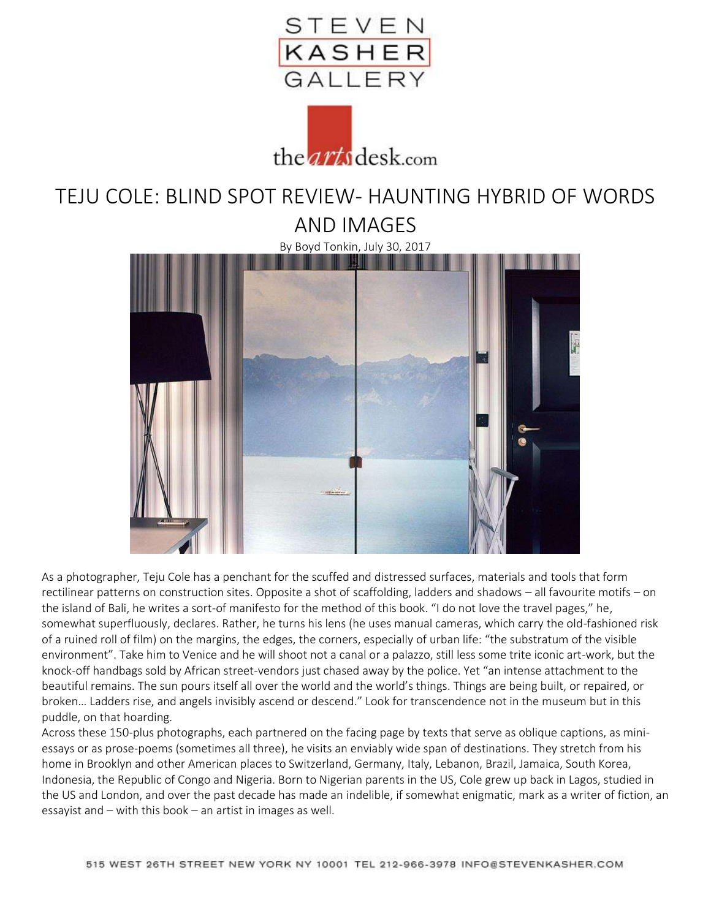



## TEJU COLE: BLIND SPOT REVIEW- HAUNTING HYBRID OF WORDS AND IMAGES

By Boyd Tonkin, July 30, 2017



As a photographer, Teju Cole has a penchant for the scuffed and distressed surfaces, materials and tools that form rectilinear patterns on construction sites. Opposite a shot of scaffolding, ladders and shadows – all favourite motifs – on the island of Bali, he writes a sort-of manifesto for the method of this book. "I do not love the travel pages," he, somewhat superfluously, declares. Rather, he turns his lens (he uses manual cameras, which carry the old-fashioned risk of a ruined roll of film) on the margins, the edges, the corners, especially of urban life: "the substratum of the visible environment". Take him to Venice and he will shoot not a canal or a palazzo, still less some trite iconic art-work, but the knock-off handbags sold by African street-vendors just chased away by the police. Yet "an intense attachment to the beautiful remains. The sun pours itself all over the world and the world's things. Things are being built, or repaired, or broken… Ladders rise, and angels invisibly ascend or descend." Look for transcendence not in the museum but in this puddle, on that hoarding.

Across these 150-plus photographs, each partnered on the facing page by texts that serve as oblique captions, as miniessays or as prose-poems (sometimes all three), he visits an enviably wide span of destinations. They stretch from his home in Brooklyn and other American places to Switzerland, Germany, Italy, Lebanon, Brazil, Jamaica, South Korea, Indonesia, the Republic of Congo and Nigeria. Born to Nigerian parents in the US, Cole grew up back in Lagos, studied in the US and London, and over the past decade has made an indelible, if somewhat enigmatic, mark as a writer of fiction, an essayist and – with this book – an artist in images as well.